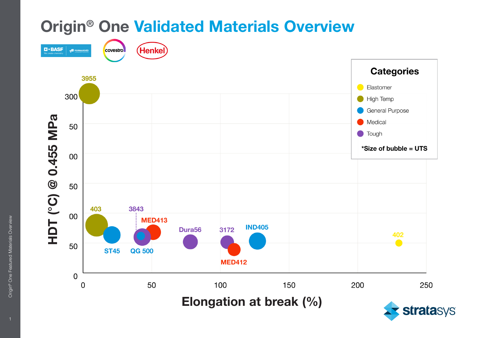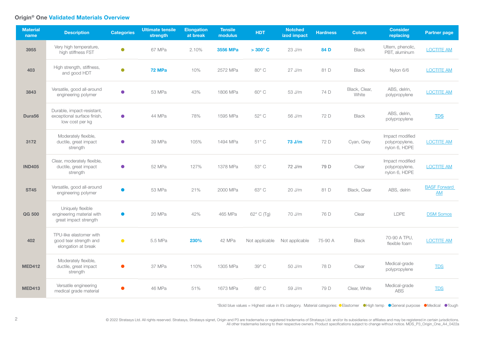## Origin® One Validated Materials Overview

| <b>Material</b><br>name | <b>Description</b>                                                           | <b>Categories</b> | <b>Ultimate tensile</b><br>strength | <b>Elongation</b><br>at break | <b>Tensile</b><br>modulus | <b>HDT</b>       | <b>Notched</b><br>izod impact | <b>Hardness</b> | <b>Colors</b>          | <b>Consider</b><br>replacing                       | <b>Partner page</b>       |
|-------------------------|------------------------------------------------------------------------------|-------------------|-------------------------------------|-------------------------------|---------------------------|------------------|-------------------------------|-----------------|------------------------|----------------------------------------------------|---------------------------|
| 3955                    | Very high temperature,<br>high stiffness FST                                 | $\bullet$         | 67 MPa                              | 2.10%                         | 3556 MPa                  | $>300^{\circ}$ C | 23 J/m                        | 84 D            | <b>Black</b>           | Ultem, phenolic,<br>PBT, aluminum                  | <b>LOCTITE AM</b>         |
| 403                     | High strength, stiffness,<br>and good HDT                                    | $\bullet$         | 72 MPa                              | 10%                           | 2572 MPa                  | $80^\circ$ C     | $27$ J/m                      | 81 D            | <b>Black</b>           | Nylon 6/6                                          | <b>LOCTITE AM</b>         |
| 3843                    | Versatile, good all-around<br>engineering polymer                            | $\bullet$         | 53 MPa                              | 43%                           | 1806 MPa                  | $60^{\circ}$ C   | 53 J/m                        | 74 D            | Black, Clear,<br>White | ABS, delrin,<br>polypropylene                      | <b>LOCTITE AM</b>         |
| Dura <sub>56</sub>      | Durable, impact-resistant,<br>exceptional surface finish,<br>low cost per kg | $\bullet$         | 44 MPa                              | 78%                           | 1595 MPa                  | $52^{\circ}$ C   | 56 J/m                        | 72 D            | <b>Black</b>           | ABS, delrin,<br>polypropylene                      | <b>TDS</b>                |
| 3172                    | Moderately flexible,<br>ductile, great impact<br>strength                    | $\bullet$         | 39 MPa                              | 105%                          | 1494 MPa                  | $51^{\circ}$ C   | 73 J/m                        | 72 D            | Cyan, Grey             | Impact modified<br>polypropylene,<br>nylon 6, HDPE | <b>LOCTITE AM</b>         |
| <b>IND405</b>           | Clear, moderately flexible,<br>ductile, great impact<br>strength             | $\bullet$         | 52 MPa                              | 127%                          | 1378 MPa                  | $53^\circ$ C     | 72 J/m                        | 79 D            | Clear                  | Impact modified<br>polypropylene,<br>nylon 6, HDPE | <b>LOCTITE AM</b>         |
| <b>ST45</b>             | Versatile, good all-around<br>engineering polymer                            |                   | 53 MPa                              | 21%                           | 2000 MPa                  | 63° C            | 20 J/m                        | 81 D            | Black, Clear           | ABS, delrin                                        | <b>BASF Forward</b><br>AM |
| QG 500                  | Uniquely flexible<br>engineering material with<br>great impact strength      | $\bullet$         | 20 MPa                              | 42%                           | 465 MPa                   | 62° C (Tg)       | 70 J/m                        | 76 D            | Clear                  | LDPE                                               | <b>DSM Somos</b>          |
| 402                     | TPU-like elastomer with<br>good tear strength and<br>elongation at break     | $\bullet$         | 5.5 MPa                             | 230%                          | 42 MPa                    | Not applicable   | Not applicable                | 75-90 A         | <b>Black</b>           | 70-90 A TPU,<br>flexible foam                      | <b>LOCTITE AM</b>         |
| <b>MED412</b>           | Moderately flexible,<br>ductile, great impact<br>strength                    |                   | 37 MPa                              | 110%                          | 1305 MPa                  | $39^\circ$ C     | 50 J/m                        | 78 D            | Clear                  | Medical-grade<br>polypropylene                     | <b>TDS</b>                |
| <b>MED413</b>           | Versatile engineering<br>medical grade material                              |                   | 46 MPa                              | 51%                           | 1673 MPa                  | 68° C            | 59 J/m                        | 79 D            | Clear, White           | Medical-grade<br><b>ABS</b>                        | <b>TDS</b>                |

\*Bold blue values = Highest value in it's category. Material categories: Elastomer High temp General purpose Medical Tough

© 2022 Stratasys Ltd. All rights reserved. Stratasys, Stratasys signet, Origin and P3 are trademarks or registered trademarks of Stratasys Ltd. and/or its subsidiaries or affiliates and may be registered in certain jurisdi